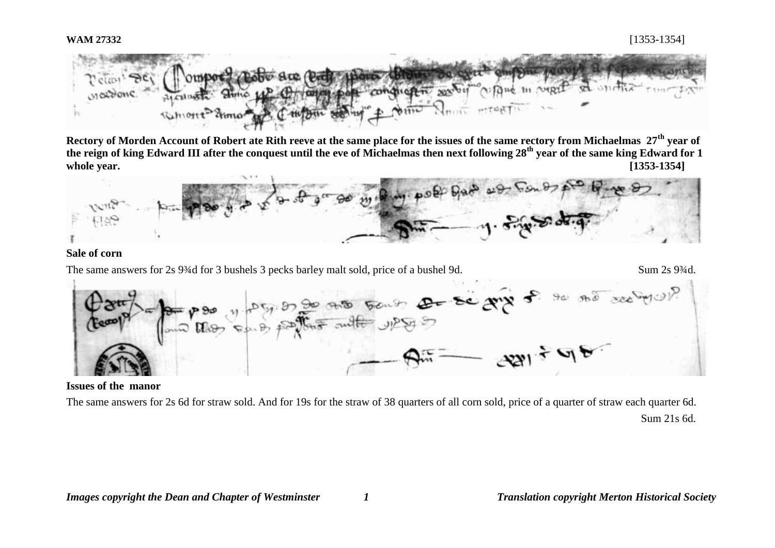

**Rectory of Morden Account of Robert ate Rith reeve at the same place for the issues of the same rectory from Michaelmas 27th year of the reign of king Edward III after the conquest until the eve of Michaelmas then next following 28th year of the same king Edward for 1 whole year. [1353-1354]**



# **Sale of corn**

The same answers for 2s 9¼d for 3 bushels 3 pecks barley malt sold, price of a bushel 9d. Sum 2s 9¼d.



# **Issues of the manor**

The same answers for 2s 6d for straw sold. And for 19s for the straw of 38 quarters of all corn sold, price of a quarter of straw each quarter 6d.

Sum 21s 6d.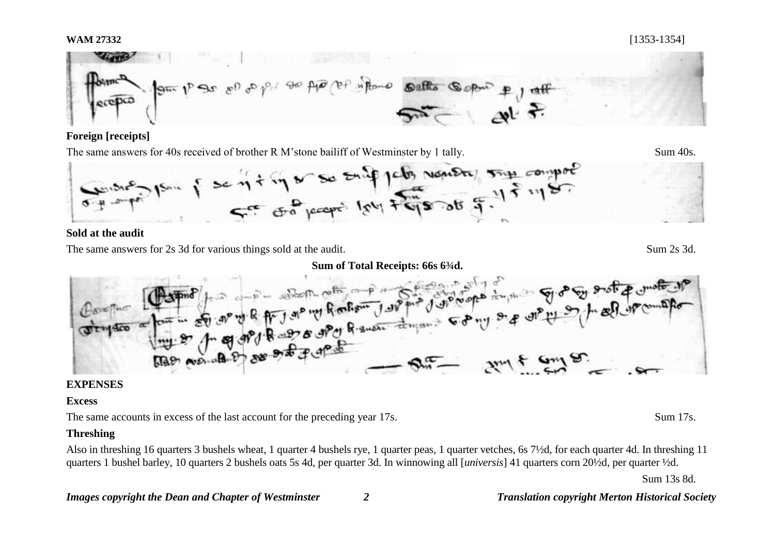

## **Foreign [receipts]**

The same answers for 40s received of brother R M'stone bailiff of Westminster by 1 tally. Sum 40s.



### **Sold at the audit**

The same answers for 2s 3d for various things sold at the audit. Sum 2s 3d.



## **EXPENSES**

### **Excess**

The same accounts in excess of the last account for the preceding year 17s. Sum 17s.

## **Threshing**

Also in threshing 16 quarters 3 bushels wheat, 1 quarter 4 bushels rye, 1 quarter peas, 1 quarter vetches, 6s 7½d, for each quarter 4d. In threshing 11 quarters 1 bushel barley, 10 quarters 2 bushels oats 5s 4d, per quarter 3d. In winnowing all [*universis*] 41 quarters corn 20½d, per quarter ½d.

Sum 13s 8d.

*Images copyright the Dean and Chapter of Westminster 2 Translation copyright Merton Historical Society*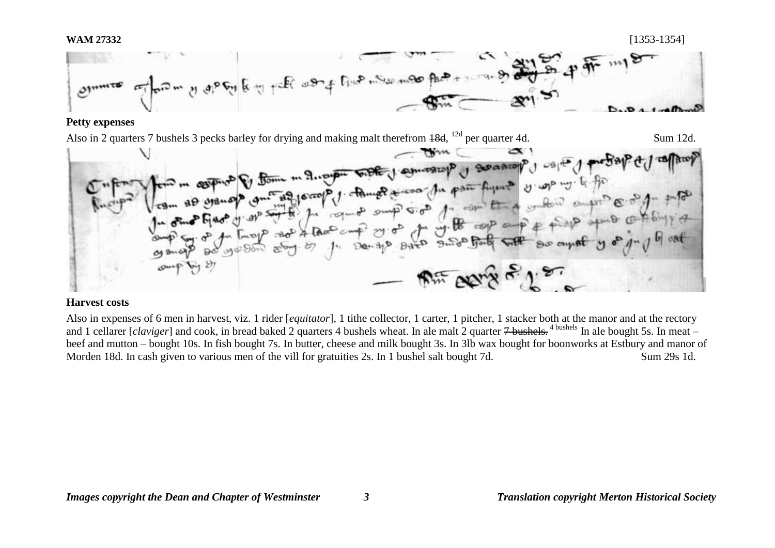

### **Petty expenses**



### **Harvest costs**

Also in expenses of 6 men in harvest, viz. 1 rider [*equitator*], 1 tithe collector, 1 carter, 1 pitcher, 1 stacker both at the manor and at the rectory and 1 cellarer [*claviger*] and cook, in bread baked 2 quarters 4 bushels wheat. In ale malt 2 quarter 7 bushels.<sup>4 bushels</sup> In ale bought 5s. In meat – beef and mutton – bought 10s. In fish bought 7s. In butter, cheese and milk bought 3s. In 3lb wax bought for boonworks at Estbury and manor of Morden 18d. In cash given to various men of the vill for gratuities 2s. In 1 bushel salt bought 7d. Sum 29s 1d.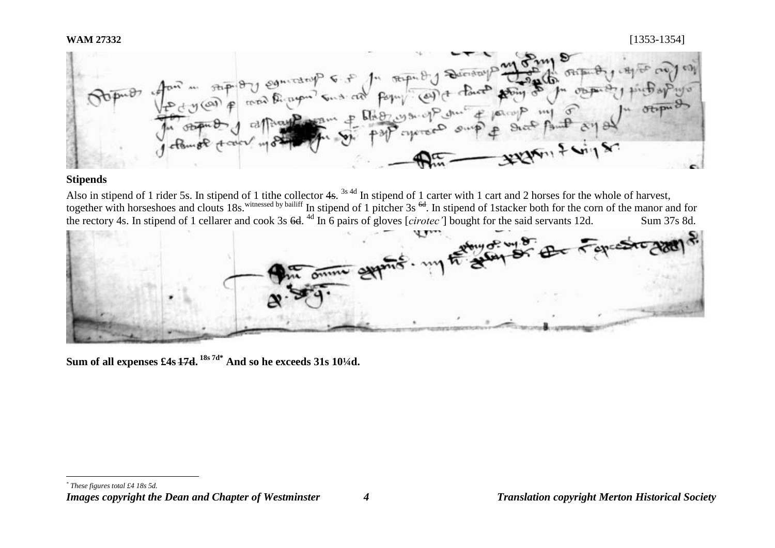

## **Stipends**

Also in stipend of 1 rider 5s. In stipend of 1 tithe collector 4s. <sup>3s 4d</sup> In stipend of 1 carter with 1 cart and 2 horses for the whole of harvest, together with horseshoes and clouts 18s.<sup>witnessed by bailiff</sup> In stipend of 1 pitcher 3s <sup>6d</sup>. In stipend of 1stacker both for the corn of the manor and for the rectory 4s. In stipend of 1 cellarer and cook 3s 6d. <sup>4d</sup> In 6 pairs of gloves [*cirotec'*] bought for the said servants 12d. Sum 37s 8d.



**Sum of all expenses £4s 17d. 18s 7d\* And so he exceeds 31s 10¼d.** 

*\* These figures total £4 18s 5d.*

1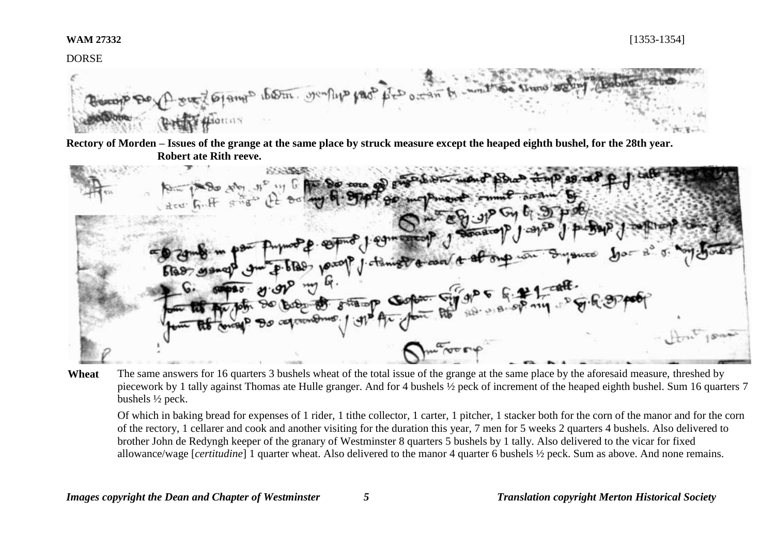**WAM 27332** [1353-1354] DORSE Glamp iborn. wenting page

**Rectory of Morden – Issues of the grange at the same place by struck measure except the heaped eighth bushel, for the 28th year. Robert ate Rith reeve.**

 $g \rightarrow$   $\pi$ 

Wheat The same answers for 16 quarters 3 bushels wheat of the total issue of the grange at the same place by the aforesaid measure, threshed by piecework by 1 tally against Thomas ate Hulle granger. And for 4 bushels ½ peck of increment of the heaped eighth bushel. Sum 16 quarters 7 bushels ½ peck.

Of which in baking bread for expenses of 1 rider, 1 tithe collector, 1 carter, 1 pitcher, 1 stacker both for the corn of the manor and for the corn of the rectory, 1 cellarer and cook and another visiting for the duration this year, 7 men for 5 weeks 2 quarters 4 bushels. Also delivered to brother John de Redyngh keeper of the granary of Westminster 8 quarters 5 bushels by 1 tally. Also delivered to the vicar for fixed allowance/wage [*certitudine*] 1 quarter wheat. Also delivered to the manor 4 quarter 6 bushels ½ peck. Sum as above. And none remains.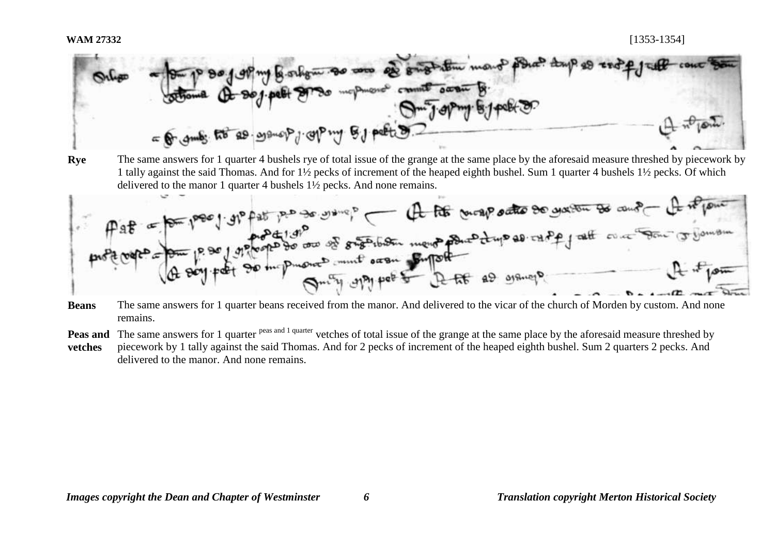

**Rye** The same answers for 1 quarter 4 bushels rye of total issue of the grange at the same place by the aforesaid measure threshed by piecework by 1 tally against the said Thomas. And for 1½ pecks of increment of the heaped eighth bushel. Sum 1 quarter 4 bushels 1½ pecks. Of which delivered to the manor 1 quarter 4 bushels 1½ pecks. And none remains.



- **Beans** The same answers for 1 quarter beans received from the manor. And delivered to the vicar of the church of Morden by custom. And none remains.
- Peas and The same answers for 1 quarter <sup>peas and 1 quarter</sup> vetches of total issue of the grange at the same place by the aforesaid measure threshed by **vetches** piecework by 1 tally against the said Thomas. And for 2 pecks of increment of the heaped eighth bushel. Sum 2 quarters 2 pecks. And delivered to the manor. And none remains.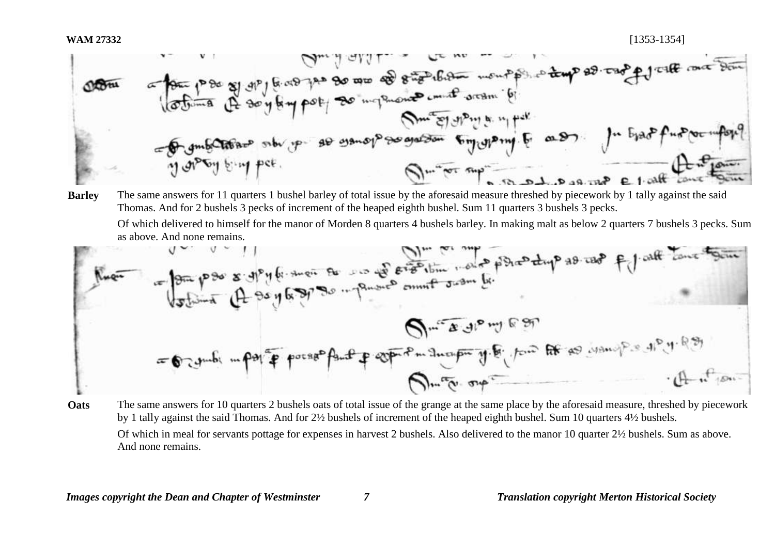**Barley** The same answers for 11 quarters 1 bushel barley of total issue by the aforesaid measure threshed by piecework by 1 tally against the said Thomas. And for 2 bushels 3 pecks of increment of the heaped eighth bushel. Sum 11 quarters 3 bushels 3 pecks.

Of which delivered to himself for the manor of Morden 8 quarters 4 bushels barley. In making malt as below 2 quarters 7 bushels 3 pecks. Sum as above. And none remains.

Here

\n
$$
\int_{\mathbb{R}^n} \frac{1}{\sqrt{1-x^2}} \int_{\mathbb{R}^n} \frac{1}{\sqrt{1-x^2}} \int_{\mathbb{R}^n} \frac{1}{\sqrt{1-x^2}} \int_{\mathbb{R}^n} \frac{1}{\sqrt{1-x^2}} \int_{\mathbb{R}^n} \frac{1}{\sqrt{1-x^2}} \int_{\mathbb{R}^n} \frac{1}{\sqrt{1-x^2}} \int_{\mathbb{R}^n} \frac{1}{\sqrt{1-x^2}} \int_{\mathbb{R}^n} \frac{1}{\sqrt{1-x^2}} \int_{\mathbb{R}^n} \frac{1}{\sqrt{1-x^2}} \int_{\mathbb{R}^n} \frac{1}{\sqrt{1-x^2}} \int_{\mathbb{R}^n} \frac{1}{\sqrt{1-x^2}} \int_{\mathbb{R}^n} \frac{1}{\sqrt{1-x^2}} \int_{\mathbb{R}^n} \frac{1}{\sqrt{1-x^2}} \int_{\mathbb{R}^n} \frac{1}{\sqrt{1-x^2}} \int_{\mathbb{R}^n} \frac{1}{\sqrt{1-x^2}} \int_{\mathbb{R}^n} \frac{1}{\sqrt{1-x^2}} \int_{\mathbb{R}^n} \frac{1}{\sqrt{1-x^2}} \int_{\mathbb{R}^n} \frac{1}{\sqrt{1-x^2}} \int_{\mathbb{R}^n} \frac{1}{\sqrt{1-x^2}} \int_{\mathbb{R}^n} \frac{1}{\sqrt{1-x^2}} \int_{\mathbb{R}^n} \frac{1}{\sqrt{1-x^2}} \int_{\mathbb{R}^n} \frac{1}{\sqrt{1-x^2}} \int_{\mathbb{R}^n} \frac{1}{\sqrt{1-x^2}} \int_{\mathbb{R}^n} \frac{1}{\sqrt{1-x^2}} \int_{\mathbb{R}^n} \frac{1}{\sqrt{1-x^2}} \int_{\mathbb{R}^n} \frac{1}{\sqrt{1-x^2}} \int_{\mathbb{R}^n} \frac{1}{\sqrt{1-x^2}} \int_{\mathbb{R}^n} \frac{1}{\sqrt{1-x^2}} \int_{\mathbb{R}^n} \frac{1}{\sqrt{1-x^2}} \int_{\mathbb{R}^n} \frac{1}{\sqrt{1-x^2}} \int_{
$$

**Oats** The same answers for 10 quarters 2 bushels oats of total issue of the grange at the same place by the aforesaid measure, threshed by piecework by 1 tally against the said Thomas. And for 2½ bushels of increment of the heaped eighth bushel. Sum 10 quarters 4½ bushels. Of which in meal for servants pottage for expenses in harvest 2 bushels. Also delivered to the manor 10 quarter 2½ bushels. Sum as above.

And none remains.